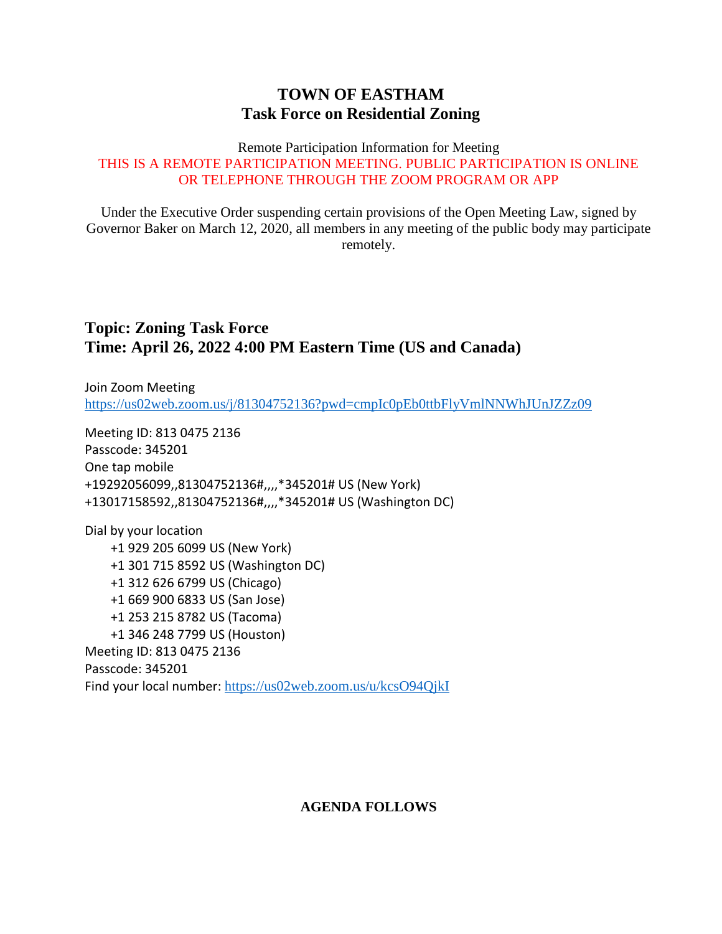## **TOWN OF EASTHAM Task Force on Residential Zoning**

#### Remote Participation Information for Meeting THIS IS A REMOTE PARTICIPATION MEETING. PUBLIC PARTICIPATION IS ONLINE OR TELEPHONE THROUGH THE ZOOM PROGRAM OR APP

Under the Executive Order suspending certain provisions of the Open Meeting Law, signed by Governor Baker on March 12, 2020, all members in any meeting of the public body may participate remotely.

### **Topic: Zoning Task Force Time: April 26, 2022 4:00 PM Eastern Time (US and Canada)**

Join Zoom Meeting <https://us02web.zoom.us/j/81304752136?pwd=cmpIc0pEb0ttbFlyVmlNNWhJUnJZZz09>

Meeting ID: 813 0475 2136 Passcode: 345201 One tap mobile +19292056099,,81304752136#,,,,\*345201# US (New York) +13017158592,,81304752136#,,,,\*345201# US (Washington DC)

Dial by your location +1 929 205 6099 US (New York) +1 301 715 8592 US (Washington DC) +1 312 626 6799 US (Chicago) +1 669 900 6833 US (San Jose) +1 253 215 8782 US (Tacoma) +1 346 248 7799 US (Houston) Meeting ID: 813 0475 2136 Passcode: 345201 Find your local number: <https://us02web.zoom.us/u/kcsO94QjkI>

#### **AGENDA FOLLOWS**